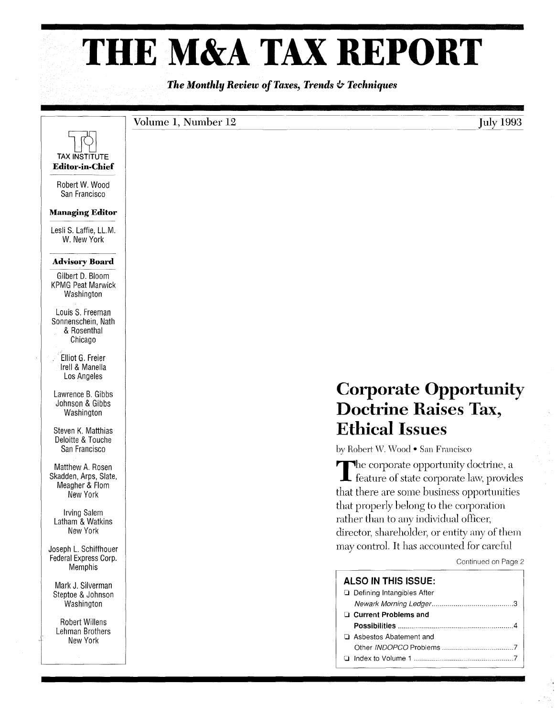# **THE M&A TAX REPORT**

The Monthly Review of Taxes, Trends  $\psi$  Techniques

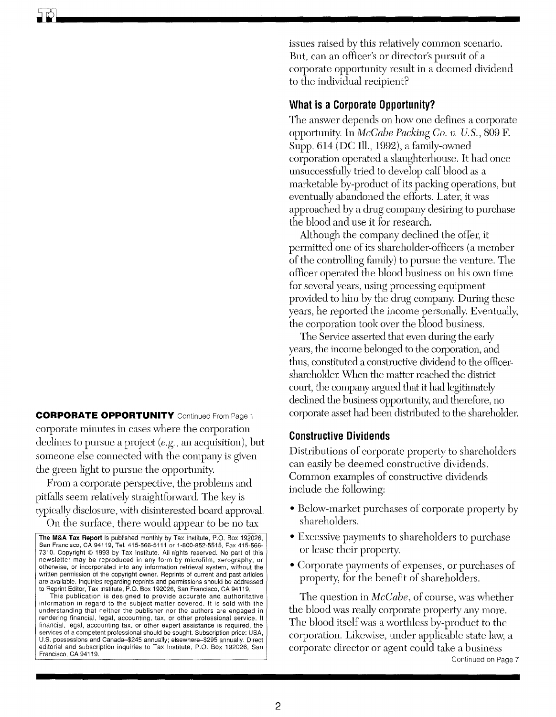**CORPORATE OPPORTUNITY** Continued From Page 1 corporate minutes in cases where the corporation declines to pursue a project *(e.g.,* an acquisition), but someone else connected with the company is given the green light to pursue the opportunity.

From a corporate perspective, the problems and pitfalls seem relatively straightforward. The key is typically disclosure, with disinterested board approval.

On the surface, there would appear to be no tax

issues raised by this relatively common scenario. But, can an officer's or director's pursuit of a corporate opportunity result in a deemed dividend to the individual recipient?

# **What is a Corporate Opportunity?**

The answer depends on how one defines a corporate opportunity. In *McCabe Packing Co. v. U. S.,* 809 F. Supp. 614 (DC Ill., 1992), a family-owned corporation operated a slaughterhouse. It had once unsuccessfully tried to develop calf blood as a marketable by-product of its packing operations, but eventually abandoned the efforts. Later, it was approached by a drug company desiring to purchase the blood and use it for research.

Although the company declined the offer, it permitted one of its shareholder-officers (a member of the controlling family) to pursue the venture. The officer operated the blood business on his own time for several years, using processing equipment provided to him by the drug company. During these years, he reported the income personally. Eventually, the corporation took over the blood business.

The Service asserted that even during the early years, the income belonged to the corporation, and thus, constituted a constructive dividend to the officershareholder. When the matter reached the district court, the company argued that it had legitimately declined the business opportunity, and therefore, no corporate asset had been distributed to the shareholder.

## **Constructive Dividends**

Distributions of corporate property to shareholders can easily be deemed constructive dividends. Common examples of constructive dividends include the following:

- Below-market purchases of corporate property by shareholders.
- Excessive payments to shareholders to purchase or lease their property.
- Corporate payments of expenses, or purchases of property, for the benefit of shareholders.

The question in *McCabe,* of course, was whether the blood was really corporate property any more. The blood itself was a worthless by-product to the corporation. Likewise, under applicable state law, a corporate director or agent could take a business Continued on Page 7

The M&A Tax Report is published monthly by Tax Institute, P.O. Box 192026, San Francisco, CA 94119, Tel. 415-566-5111 or 1-800-852-5515, Fax 415-566- 7310. Copyright © 1993 by Tax Institute. All rights reserved. No part of this newsletter may be reproduced in any form by microfilm, xerography, or otherwise, or incorporated into any information retrieval system, without the written permission of the copyright owner. Reprints of current and past articles are available. Inquiries regarding reprints and permissions should be addressed to Reprint Editor, Tax Institute, P.O. Box 192026, San Francisco, CA 94119.

This publication is designed to provide accurate and authoritative information in regard to the subject matter *covered.* It is sold with the understanding that neither the publisher nor the authors are engaged in rendering financial, legal, accounting, tax, or other professional service. If financial, legal, accounting tax, or other expert assistance is required, the services of a competent professional should be sought. Subscription price: USA, U.S. possessions and Canada-\$245 annually; elsewhere-\$295 annually. Direct editorial and subscription inquiries to Tax Institute, P.O. Box 192026, San Francisco, CA 94119